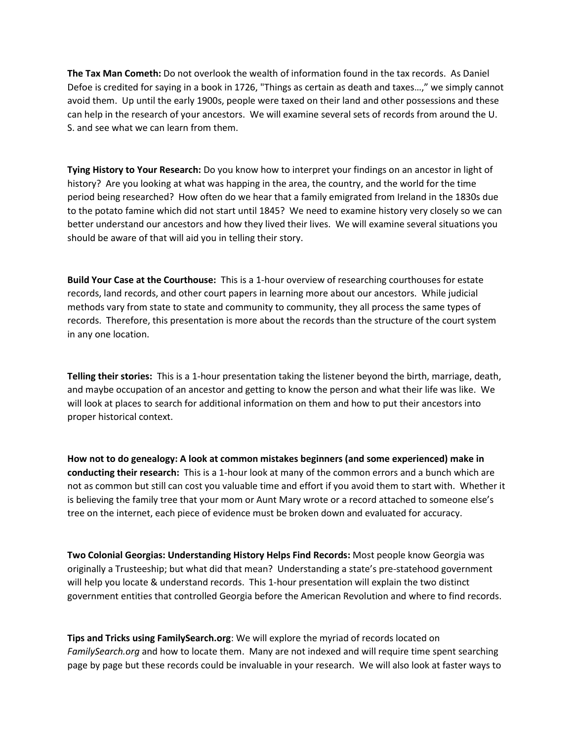**The Tax Man Cometh:** Do not overlook the wealth of information found in the tax records. As Daniel Defoe is credited for saying in a book in 1726, "Things as certain as death and taxes…," we simply cannot avoid them. Up until the early 1900s, people were taxed on their land and other possessions and these can help in the research of your ancestors. We will examine several sets of records from around the U. S. and see what we can learn from them.

**Tying History to Your Research:** Do you know how to interpret your findings on an ancestor in light of history? Are you looking at what was happing in the area, the country, and the world for the time period being researched? How often do we hear that a family emigrated from Ireland in the 1830s due to the potato famine which did not start until 1845? We need to examine history very closely so we can better understand our ancestors and how they lived their lives. We will examine several situations you should be aware of that will aid you in telling their story.

**Build Your Case at the Courthouse:** This is a 1-hour overview of researching courthouses for estate records, land records, and other court papers in learning more about our ancestors. While judicial methods vary from state to state and community to community, they all process the same types of records. Therefore, this presentation is more about the records than the structure of the court system in any one location.

**Telling their stories:** This is a 1-hour presentation taking the listener beyond the birth, marriage, death, and maybe occupation of an ancestor and getting to know the person and what their life was like. We will look at places to search for additional information on them and how to put their ancestors into proper historical context.

**How not to do genealogy: A look at common mistakes beginners (and some experienced) make in conducting their research:** This is a 1-hour look at many of the common errors and a bunch which are not as common but still can cost you valuable time and effort if you avoid them to start with. Whether it is believing the family tree that your mom or Aunt Mary wrote or a record attached to someone else's tree on the internet, each piece of evidence must be broken down and evaluated for accuracy.

**Two Colonial Georgias: Understanding History Helps Find Records:** Most people know Georgia was originally a Trusteeship; but what did that mean? Understanding a state's pre-statehood government will help you locate & understand records. This 1-hour presentation will explain the two distinct government entities that controlled Georgia before the American Revolution and where to find records.

**Tips and Tricks using FamilySearch.org**: We will explore the myriad of records located on *FamilySearch.org* and how to locate them. Many are not indexed and will require time spent searching page by page but these records could be invaluable in your research. We will also look at faster ways to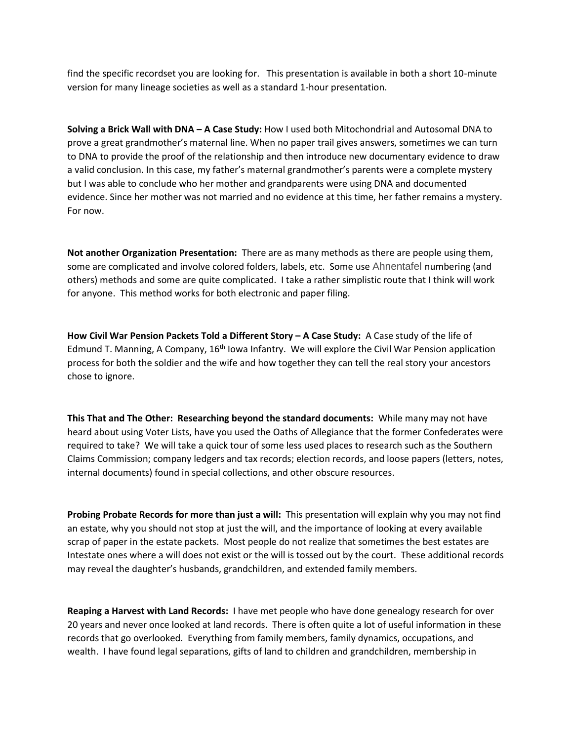find the specific recordset you are looking for. This presentation is available in both a short 10-minute version for many lineage societies as well as a standard 1-hour presentation.

**Solving a Brick Wall with DNA – A Case Study:** How I used both Mitochondrial and Autosomal DNA to prove a great grandmother's maternal line. When no paper trail gives answers, sometimes we can turn to DNA to provide the proof of the relationship and then introduce new documentary evidence to draw a valid conclusion. In this case, my father's maternal grandmother's parents were a complete mystery but I was able to conclude who her mother and grandparents were using DNA and documented evidence. Since her mother was not married and no evidence at this time, her father remains a mystery. For now.

**Not another Organization Presentation:** There are as many methods as there are people using them, some are complicated and involve colored folders, labels, etc. Some use Ahnentafel numbering (and others) methods and some are quite complicated. I take a rather simplistic route that I think will work for anyone. This method works for both electronic and paper filing.

**How Civil War Pension Packets Told a Different Story – A Case Study:** A Case study of the life of Edmund T. Manning, A Company,  $16<sup>th</sup>$  Iowa Infantry. We will explore the Civil War Pension application process for both the soldier and the wife and how together they can tell the real story your ancestors chose to ignore.

**This That and The Other: Researching beyond the standard documents:** While many may not have heard about using Voter Lists, have you used the Oaths of Allegiance that the former Confederates were required to take? We will take a quick tour of some less used places to research such as the Southern Claims Commission; company ledgers and tax records; election records, and loose papers (letters, notes, internal documents) found in special collections, and other obscure resources.

**Probing Probate Records for more than just a will:** This presentation will explain why you may not find an estate, why you should not stop at just the will, and the importance of looking at every available scrap of paper in the estate packets. Most people do not realize that sometimes the best estates are Intestate ones where a will does not exist or the will is tossed out by the court. These additional records may reveal the daughter's husbands, grandchildren, and extended family members.

**Reaping a Harvest with Land Records:** I have met people who have done genealogy research for over 20 years and never once looked at land records. There is often quite a lot of useful information in these records that go overlooked. Everything from family members, family dynamics, occupations, and wealth. I have found legal separations, gifts of land to children and grandchildren, membership in